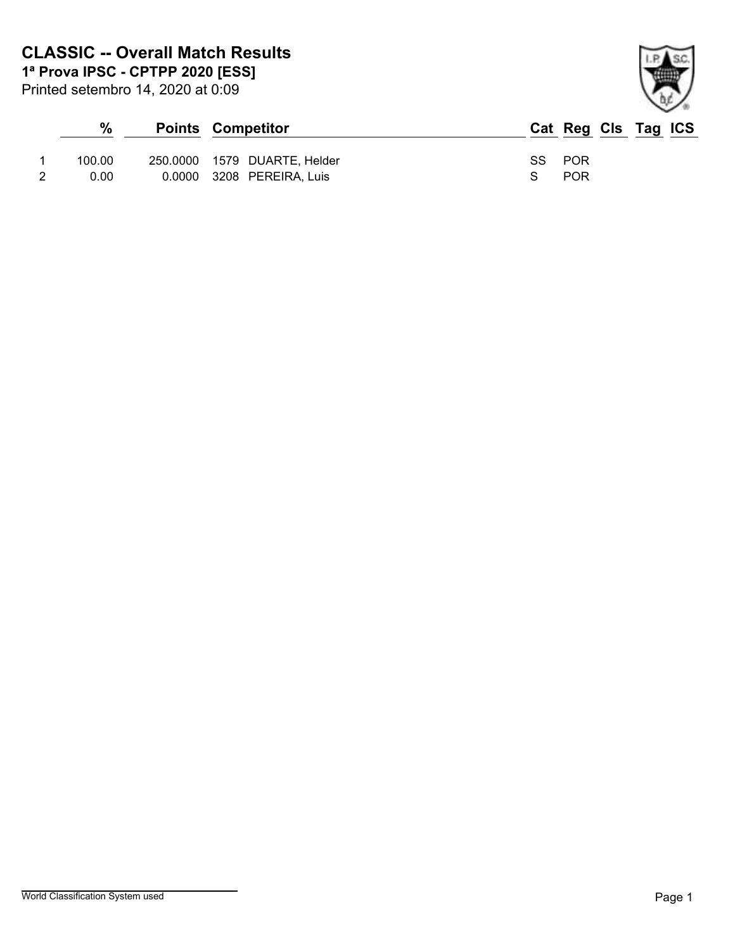| × |
|---|

| $\%$   | <b>Points Competitor</b>     | Cat Reg Cls Tag ICS |
|--------|------------------------------|---------------------|
|        |                              |                     |
| 100.00 | 250.0000 1579 DUARTE, Helder | SS POR              |
| 0.00   | 0.0000 3208 PEREIRA, Luis    | <b>POR</b>          |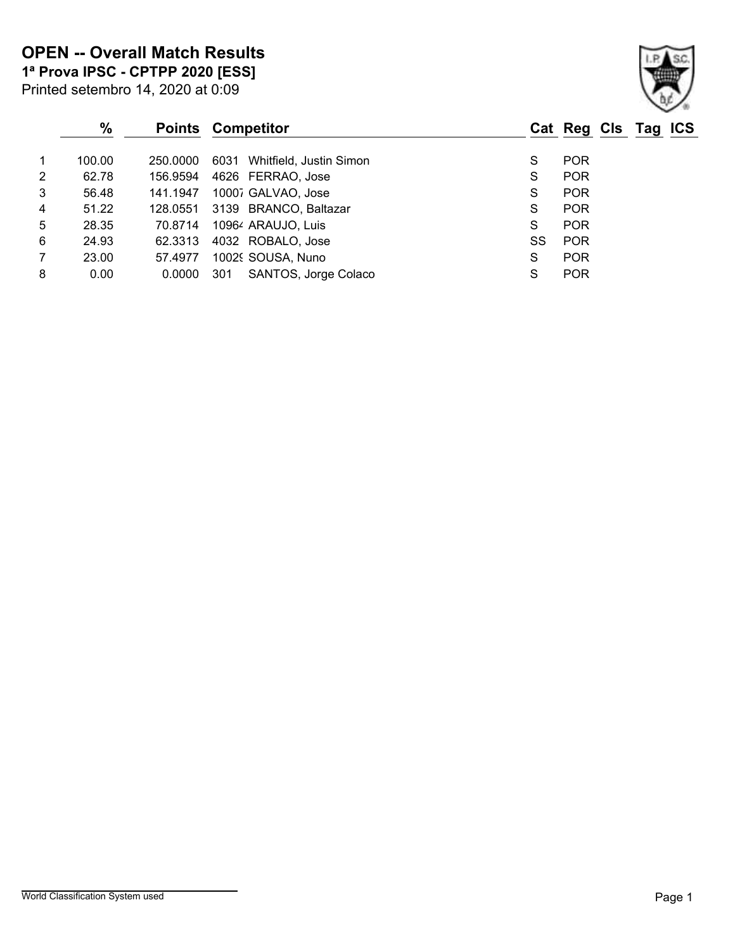Printed setembro 14, 2020 at 0:09 **1ª Prova IPSC - CPTPP 2020 [ESS]**

|                | $\%$   |          | <b>Points Competitor</b>     |    | Cat Reg Cls Tag ICS |
|----------------|--------|----------|------------------------------|----|---------------------|
| 1              | 100.00 | 250.0000 | 6031 Whitfield, Justin Simon | S  | <b>POR</b>          |
| 2              | 62.78  | 156.9594 | 4626 FERRAO, Jose            | S  | <b>POR</b>          |
| 3              | 56.48  | 141.1947 | 10007 GALVAO, Jose           | S  | <b>POR</b>          |
| 4              | 51.22  | 128.0551 | 3139 BRANCO, Baltazar        | S  | <b>POR</b>          |
| 5              | 28.35  | 70.8714  | 10964 ARAUJO, Luis           | S  | <b>POR</b>          |
| 6              | 24.93  | 62.3313  | 4032 ROBALO, Jose            | SS | <b>POR</b>          |
| $\overline{7}$ | 23.00  | 57.4977  | 10029 SOUSA, Nuno            | S  | <b>POR</b>          |
| 8              | 0.00   | 0.0000   | SANTOS, Jorge Colaco<br>301  | S  | <b>POR</b>          |
|                |        |          |                              |    |                     |

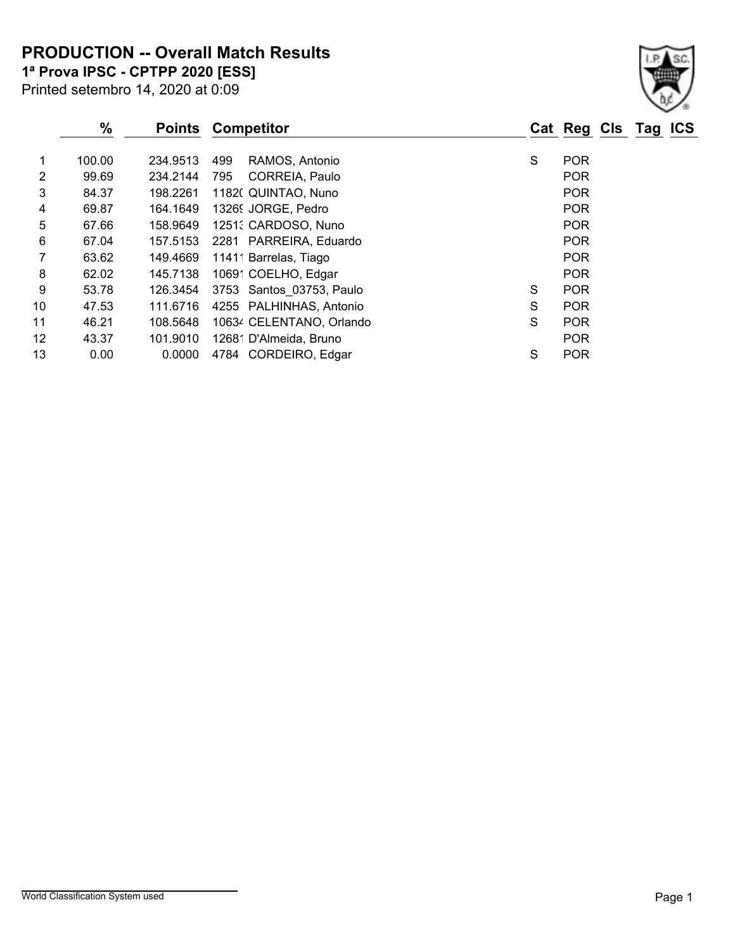**PRODUCTION -- Overall Match Results**

Printed setembro 14, 2020 at 0:09 **1ª Prova IPSC - CPTPP 2020 [ESS]**

|    | %      | <b>Points</b> | <b>Competitor</b>            |   | Cat Reg Cls Tag | <b>ICS</b> |
|----|--------|---------------|------------------------------|---|-----------------|------------|
|    | 100.00 | 234.9513      | RAMOS, Antonio<br>499        | S | <b>POR</b>      |            |
| 2  | 99.69  | 234.2144      | <b>CORREIA, Paulo</b><br>795 |   | <b>POR</b>      |            |
| 3  | 84.37  | 198.2261      | 1182( QUINTAO, Nuno          |   | <b>POR</b>      |            |
| 4  | 69.87  | 164.1649      | 13269 JORGE, Pedro           |   | <b>POR</b>      |            |
| 5  | 67.66  | 158.9649      | 1251: CARDOSO, Nuno          |   | <b>POR</b>      |            |
| 6  | 67.04  | 157.5153      | 2281 PARREIRA, Eduardo       |   | <b>POR</b>      |            |
| 7  | 63.62  | 149.4669      | 11411 Barrelas, Tiago        |   | <b>POR</b>      |            |
| 8  | 62.02  | 145.7138      | 10691 COELHO, Edgar          |   | <b>POR</b>      |            |
| 9  | 53.78  | 126.3454      | 3753 Santos 03753, Paulo     | S | <b>POR</b>      |            |
| 10 | 47.53  | 111.6716      | 4255 PALHINHAS, Antonio      | S | <b>POR</b>      |            |
| 11 | 46.21  | 108.5648      | 10634 CELENTANO, Orlando     | S | <b>POR</b>      |            |
| 12 | 43.37  | 101.9010      | 12681 D'Almeida, Bruno       |   | <b>POR</b>      |            |
| 13 | 0.00   | 0.0000        | 4784 CORDEIRO, Edgar         | S | <b>POR</b>      |            |

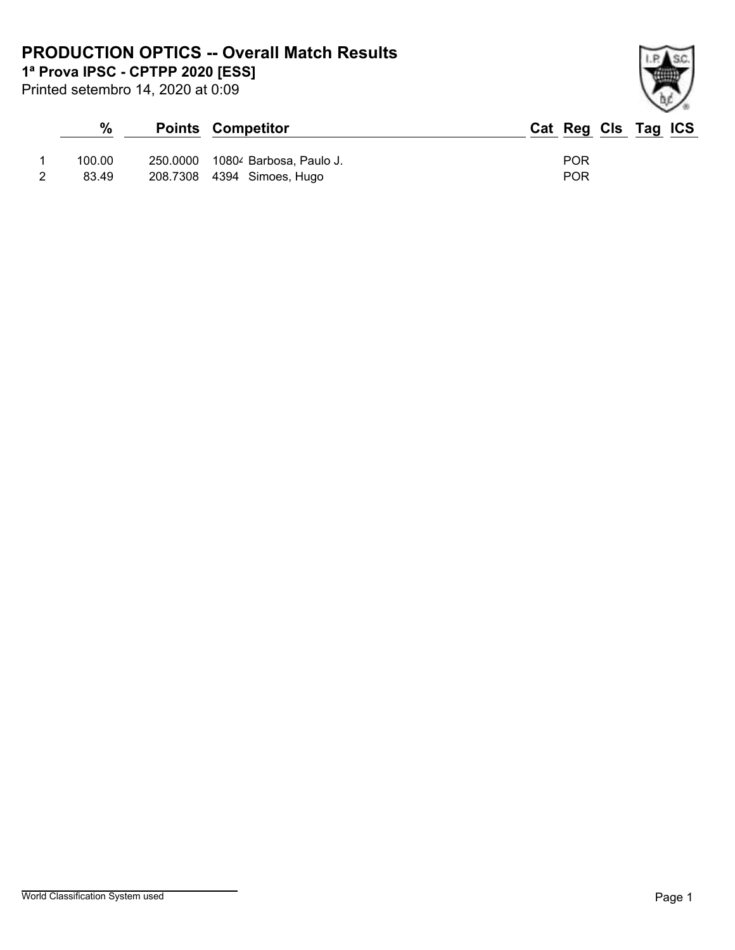## **PRODUCTION OPTICS -- Overall Match Results**

**1ª Prova IPSC - CPTPP 2020 [ESS]**

Printed setembro 14, 2020 at 0:09

## **% Points Competitor Cat Reg Cls Tag ICS** 1 100.00 250.0000 10804 Barbosa, Paulo J. POR 2 83.49 208.7308 4394 Simoes, Hugo POR

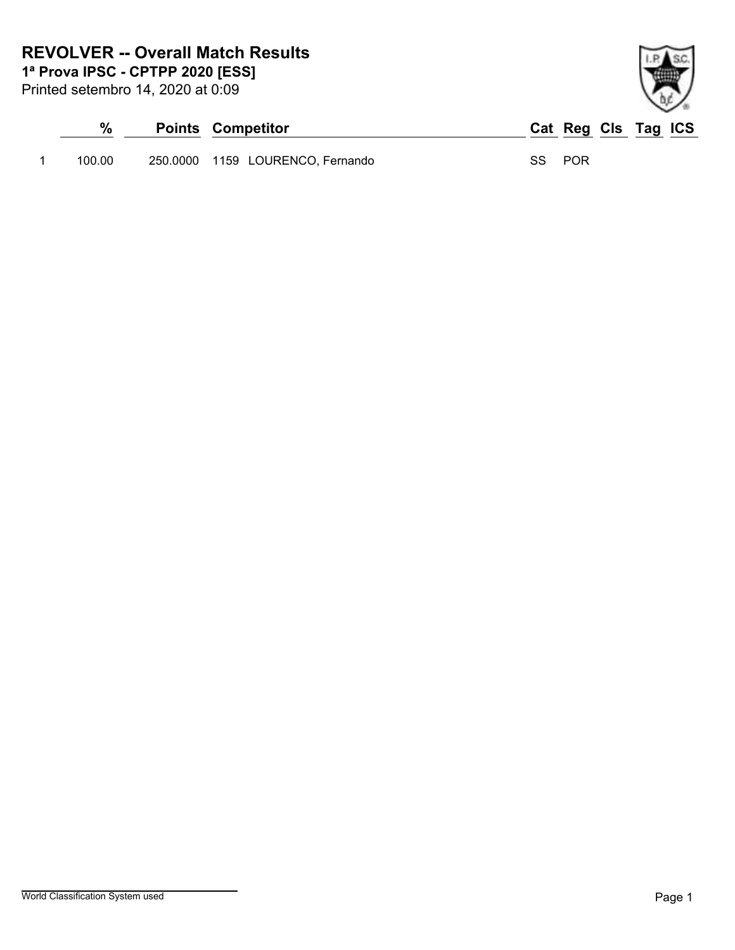## **REVOLVER -- Overall Match Results**

**1ª Prova IPSC - CPTPP 2020 [ESS]**

Printed setembro 14, 2020 at 0:09

| $\frac{0}{0}$ | <b>Points Competitor</b>         | Cat Reg Cls Tag ICS |
|---------------|----------------------------------|---------------------|
| 100.00        | 250.0000 1159 LOURENCO, Fernando | SS POR              |